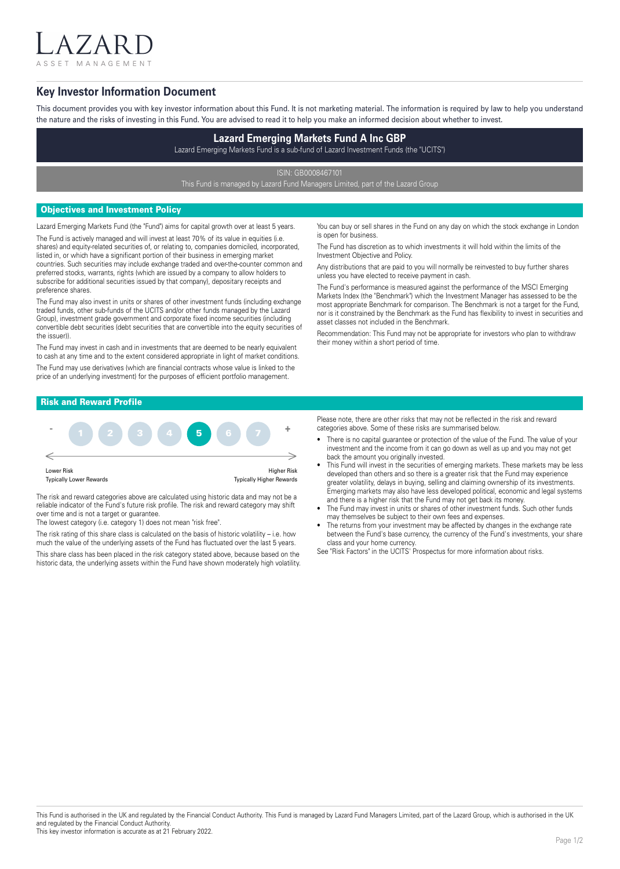ASSET MANAGEMENT

 $7$  A I

## **Key Investor Information Document**

This document provides you with key investor information about this Fund. It is not marketing material. The information is required by law to help you understand the nature and the risks of investing in this Fund. You are advised to read it to help you make an informed decision about whether to invest.

# **Lazard Emerging Markets Fund A Inc GBP**

Lazard Emerging Markets Fund is a sub-fund of Lazard Investment Funds (the "UCITS")

ISIN: GB0008467101

This Fund is managed by Lazard Fund Managers Limited, part of the Lazard Group

## Objectives and Investment Policy

Lazard Emerging Markets Fund (the "Fund") aims for capital growth over at least 5 years. The Fund is actively managed and will invest at least 70% of its value in equities (i.e. shares) and equity-related securities of, or relating to, companies domiciled, incorporated, listed in, or which have a significant portion of their business in emerging market countries. Such securities may include exchange traded and over-the-counter common and preferred stocks, warrants, rights (which are issued by a company to allow holders to

subscribe for additional securities issued by that company), depositary receipts and preference shares. The Fund may also invest in units or shares of other investment funds (including exchange traded funds, other sub-funds of the UCITS and/or other funds managed by the Lazard

Group), investment grade government and corporate fixed income securities (including convertible debt securities (debt securities that are convertible into the equity securities of the issuer)).

The Fund may invest in cash and in investments that are deemed to be nearly equivalent to cash at any time and to the extent considered appropriate in light of market conditions. The Fund may use derivatives (which are financial contracts whose value is linked to the price of an underlying investment) for the purposes of efficient portfolio management.

You can buy or sell shares in the Fund on any day on which the stock exchange in London is open for business.

The Fund has discretion as to which investments it will hold within the limits of the Investment Objective and Policy.

Any distributions that are paid to you will normally be reinvested to buy further shares unless you have elected to receive payment in cash.

The Fund's performance is measured against the performance of the MSCI Emerging Markets Index (the "Benchmark") which the Investment Manager has assessed to be the most appropriate Benchmark for comparison. The Benchmark is not a target for the Fund, nor is it constrained by the Benchmark as the Fund has flexibility to invest in securities and asset classes not included in the Benchmark.

Recommendation: This Fund may not be appropriate for investors who plan to withdraw their money within a short period of time.

## Risk and Reward Profile



The risk and reward categories above are calculated using historic data and may not be a reliable indicator of the Fund's future risk profile. The risk and reward category may shift over time and is not a target or guarantee.

The lowest category (i.e. category 1) does not mean "risk free".

The risk rating of this share class is calculated on the basis of historic volatility – i.e. how much the value of the underlying assets of the Fund has fluctuated over the last 5 years.

This share class has been placed in the risk category stated above, because based on the historic data, the underlying assets within the Fund have shown moderately high volatility. Please note, there are other risks that may not be reflected in the risk and reward categories above. Some of these risks are summarised below.

- There is no capital guarantee or protection of the value of the Fund. The value of your investment and the income from it can go down as well as up and you may not get back the amount you originally invested.
- This Fund will invest in the securities of emerging markets. These markets may be less developed than others and so there is a greater risk that the Fund may experience greater volatility, delays in buying, selling and claiming ownership of its investments. Emerging markets may also have less developed political, economic and legal systems and there is a higher risk that the Fund may not get back its money.
- The Fund may invest in units or shares of other investment funds. Such other funds may themselves be subject to their own fees and expenses.
- The returns from your investment may be affected by changes in the exchange rate between the Fund's base currency, the currency of the Fund's investments, your share class and your home currency.

See "Risk Factors" in the UCITS' Prospectus for more information about risks.